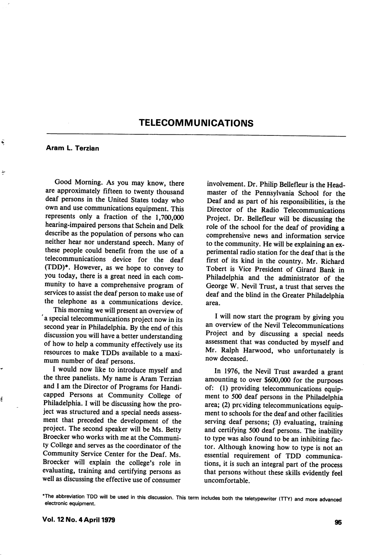# TELECOMMUNICATIONS

#### Aram L. Terzian

Ñ

ł

Ś

Good Morning. As you may know, there are approximately fifteen to twenty thousand deaf persons in the United States today who own and use communications equipment. This represents only a fraction of the 1,700,000 hearing-impaired persons that Schein and Delk describe as the population of persons who can neither hear nor understand speech. Many of these people could benefit from the use of a telecommunications device for the deaf (TDD)\*. However, as we hope to convey to you today, there is a great need in each com munity to have a comprehensive program of services to assist the deaf person to make use of the telephone as a communications device.

This morning we will present an overview of 'a special telecommunications project now in its second year in Philadelphia. By the end of this discussion you will have a better understanding of how to help a community effectively use its resources to make TDDs available to a maxi mum number of deaf persons.

I would now like to introduce myself and the three panelists. My name is Aram Terzian and I am the Director of Programs for Handi capped Persons at Community College of Philadelphia. I will be discussing how the pro ject was structured and a special needs assess ment that preceded the development of the project. The second speaker will be Ms. Betty Broecker who works with me at the Communi ty College and serves as the coordinator of the Community Service Center for the Deaf. Ms. Broecker will explain the college's role in evaluating, training and certifying persons as well as discussing the effective use of consumer

involvement. Dr. Philip Bellefleur is the Head master of the Pennsylvania School for the Deaf and as part of his responsibilities, is the Director of the Radio Telecommunications Project. Dr. Bellefleur will be discussing the role of the school for the deaf of providing a comprehensive news and information service to the community. He will be explaining an ex perimental radio station for the deaf that is the first of its kind in the country. Mr. Richard Tobert is Vice President of Girard Bank in Philadelphia and the administrator of the George W. Nevil Trust, a trust that serves the deaf and the blind in the Greater Philadelphia area.

I will now start the program by giving you an overview of the Nevil Telecommunications Project and by discussing a special needs assessment that was conducted by myself and Mr. Ralph Harwood, who unfortunately is now deceased.

In 1976, the Nevil Trust awarded a grant amounting to over \$600,000 for the purposes of: (1) providing telecommunications equip ment to 500 deaf persons in the Philadelphia area; (2) providing telecommunications equipment to schools for the deaf and other facilities serving deaf persons; (3) evaluating, training and certifying 500 deaf persons. The inability to type was also found to be an inhibiting fac tor. Although knowing how to type is not an essential requirement of TDD communica tions, it is such an integral part of the process that persons without these skills evidently feel uncomfortable.

<sup>\*</sup>The abbreviation TDD will be used in this discussion. This term includes both the teletypewriter (TTY) and more advanced electronic equipment.